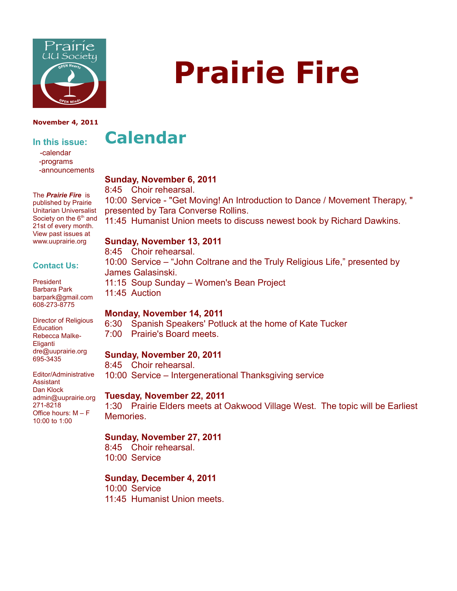

#### **November 4, 2011**

## **In this issue:**

 -calendar -programs -announcements

The *Prairie Fire* is published by Prairie Unitarian Universalist

# **Calendar**

#### **Sunday, November 6, 2011**

8:45 Choir rehearsal.

10:00 Service - "Get Moving! An Introduction to Dance / Movement Therapy, " presented by Tara Converse Rollins.

11:45 Humanist Union meets to discuss newest book by Richard Dawkins.

10:00 Service – "John Coltrane and the Truly Religious Life," presented by

#### **Sunday, November 13, 2011**

8:45 Choir rehearsal.

James Galasinski.

11:45 Auction

President Barbara Park barpark@gmail.com 608-273-8775

Director of Religious **Education** Rebecca Malke-Eliganti dre@uuprairie.org 695-3435

Editor/Administrative **Assistant** Dan Klock admin@uuprairie.org 271-8218 Office hours: M – F 10:00 to 1:00

#### **Monday, November 14, 2011**

6:30 Spanish Speakers' Potluck at the home of Kate Tucker 7:00 Prairie's Board meets.

#### **Sunday, November 20, 2011**

8:45 Choir rehearsal. 10:00 Service – Intergenerational Thanksgiving service

11:15 Soup Sunday – Women's Bean Project

#### **Tuesday, November 22, 2011**

1:30 Prairie Elders meets at Oakwood Village West. The topic will be Earliest Memories.

#### **Sunday, November 27, 2011**

8:45 Choir rehearsal. 10:00 Service

#### **Sunday, December 4, 2011**

10:00 Service 11:45 Humanist Union meets.

# **Prairie Fire**